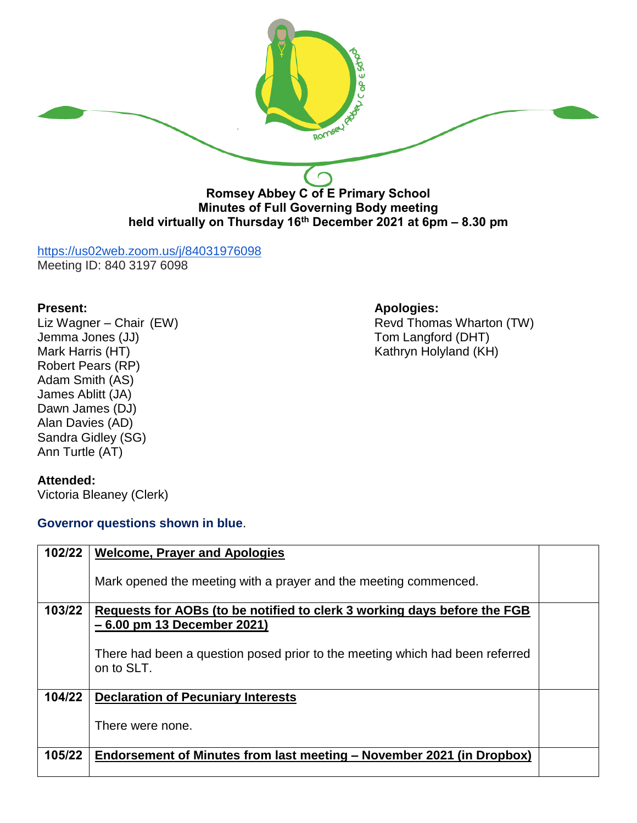

# <https://us02web.zoom.us/j/84031976098>

Meeting ID: 840 3197 6098

**Present:**<br>
Liz Wagner – Chair (EW) **Apologies:**<br>
Revd Thoma Jemma Jones (JJ) Tom Langford (DHT) Robert Pears (RP) Adam Smith (AS) James Ablitt (JA) Dawn James (DJ) Alan Davies (AD) Sandra Gidley (SG) Ann Turtle (AT)

## **Attended:**

Victoria Bleaney (Clerk)

## **Governor questions shown in blue**.

Revd Thomas Wharton (TW) Kathryn Holyland (KH)

| 102/22 | <b>Welcome, Prayer and Apologies</b>                                                       |  |
|--------|--------------------------------------------------------------------------------------------|--|
|        | Mark opened the meeting with a prayer and the meeting commenced.                           |  |
| 103/22 | Requests for AOBs (to be notified to clerk 3 working days before the FGB                   |  |
|        | - 6.00 pm 13 December 2021)                                                                |  |
|        | There had been a question posed prior to the meeting which had been referred<br>on to SLT. |  |
| 104/22 | <b>Declaration of Pecuniary Interests</b>                                                  |  |
|        | There were none.                                                                           |  |
| 105/22 | Endorsement of Minutes from last meeting – November 2021 (in Dropbox)                      |  |
|        |                                                                                            |  |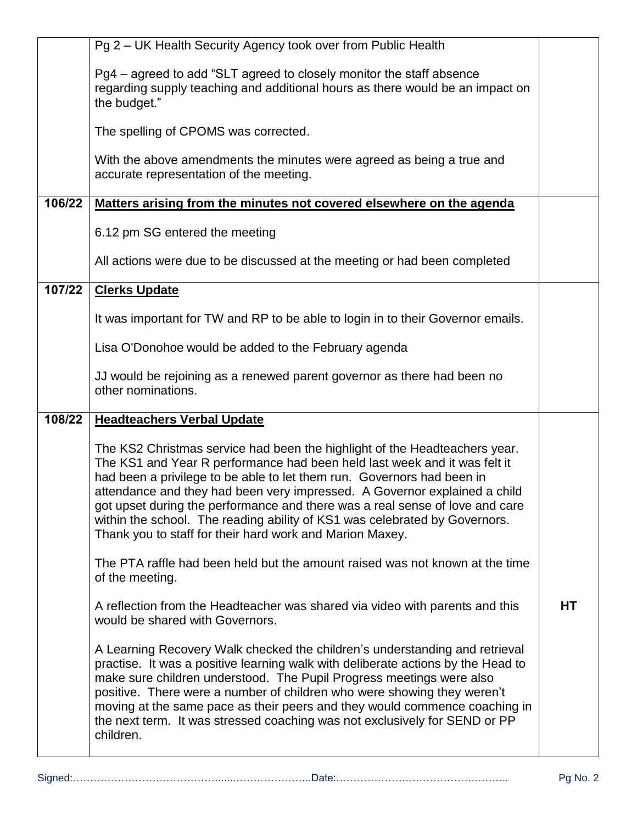|        | Pg 2 - UK Health Security Agency took over from Public Health                                                                                                                                                                                                                                                                                                                                                                                                                                                                            |    |
|--------|------------------------------------------------------------------------------------------------------------------------------------------------------------------------------------------------------------------------------------------------------------------------------------------------------------------------------------------------------------------------------------------------------------------------------------------------------------------------------------------------------------------------------------------|----|
|        | Pg4 – agreed to add "SLT agreed to closely monitor the staff absence<br>regarding supply teaching and additional hours as there would be an impact on<br>the budget."                                                                                                                                                                                                                                                                                                                                                                    |    |
|        | The spelling of CPOMS was corrected.                                                                                                                                                                                                                                                                                                                                                                                                                                                                                                     |    |
|        | With the above amendments the minutes were agreed as being a true and<br>accurate representation of the meeting.                                                                                                                                                                                                                                                                                                                                                                                                                         |    |
| 106/22 | Matters arising from the minutes not covered elsewhere on the agenda                                                                                                                                                                                                                                                                                                                                                                                                                                                                     |    |
|        | 6.12 pm SG entered the meeting                                                                                                                                                                                                                                                                                                                                                                                                                                                                                                           |    |
|        | All actions were due to be discussed at the meeting or had been completed                                                                                                                                                                                                                                                                                                                                                                                                                                                                |    |
| 107/22 | <b>Clerks Update</b>                                                                                                                                                                                                                                                                                                                                                                                                                                                                                                                     |    |
|        | It was important for TW and RP to be able to login in to their Governor emails.                                                                                                                                                                                                                                                                                                                                                                                                                                                          |    |
|        | Lisa O'Donohoe would be added to the February agenda                                                                                                                                                                                                                                                                                                                                                                                                                                                                                     |    |
|        | JJ would be rejoining as a renewed parent governor as there had been no<br>other nominations.                                                                                                                                                                                                                                                                                                                                                                                                                                            |    |
| 108/22 | <b>Headteachers Verbal Update</b>                                                                                                                                                                                                                                                                                                                                                                                                                                                                                                        |    |
|        | The KS2 Christmas service had been the highlight of the Headteachers year.<br>The KS1 and Year R performance had been held last week and it was felt it<br>had been a privilege to be able to let them run. Governors had been in<br>attendance and they had been very impressed. A Governor explained a child<br>got upset during the performance and there was a real sense of love and care<br>within the school. The reading ability of KS1 was celebrated by Governors.<br>Thank you to staff for their hard work and Marion Maxey. |    |
|        | The PTA raffle had been held but the amount raised was not known at the time<br>of the meeting.                                                                                                                                                                                                                                                                                                                                                                                                                                          |    |
|        | A reflection from the Headteacher was shared via video with parents and this<br>would be shared with Governors.                                                                                                                                                                                                                                                                                                                                                                                                                          | HT |
|        | A Learning Recovery Walk checked the children's understanding and retrieval<br>practise. It was a positive learning walk with deliberate actions by the Head to<br>make sure children understood. The Pupil Progress meetings were also<br>positive. There were a number of children who were showing they weren't<br>moving at the same pace as their peers and they would commence coaching in<br>the next term. It was stressed coaching was not exclusively for SEND or PP<br>children.                                              |    |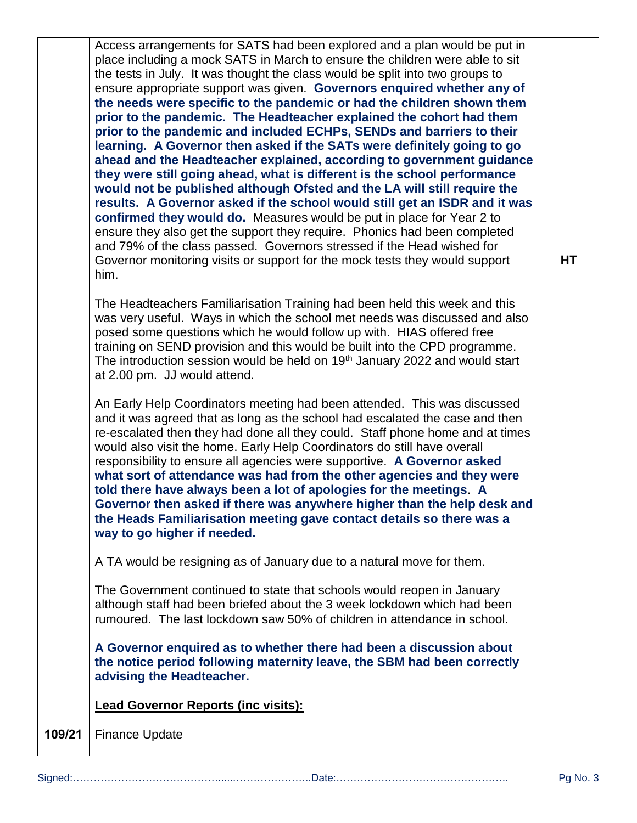Access arrangements for SATS had been explored and a plan would be put in place including a mock SATS in March to ensure the children were able to sit the tests in July. It was thought the class would be split into two groups to ensure appropriate support was given. **Governors enquired whether any of the needs were specific to the pandemic or had the children shown them prior to the pandemic. The Headteacher explained the cohort had them prior to the pandemic and included ECHPs, SENDs and barriers to their learning. A Governor then asked if the SATs were definitely going to go ahead and the Headteacher explained, according to government guidance they were still going ahead, what is different is the school performance would not be published although Ofsted and the LA will still require the results. A Governor asked if the school would still get an ISDR and it was confirmed they would do.** Measures would be put in place for Year 2 to ensure they also get the support they require. Phonics had been completed and 79% of the class passed. Governors stressed if the Head wished for Governor monitoring visits or support for the mock tests they would support him.

The Headteachers Familiarisation Training had been held this week and this was very useful. Ways in which the school met needs was discussed and also posed some questions which he would follow up with. HIAS offered free training on SEND provision and this would be built into the CPD programme. The introduction session would be held on 19<sup>th</sup> January 2022 and would start at 2.00 pm. JJ would attend.

An Early Help Coordinators meeting had been attended. This was discussed and it was agreed that as long as the school had escalated the case and then re-escalated then they had done all they could. Staff phone home and at times would also visit the home. Early Help Coordinators do still have overall responsibility to ensure all agencies were supportive. **A Governor asked what sort of attendance was had from the other agencies and they were told there have always been a lot of apologies for the meetings**. **A Governor then asked if there was anywhere higher than the help desk and the Heads Familiarisation meeting gave contact details so there was a way to go higher if needed.** 

A TA would be resigning as of January due to a natural move for them.

The Government continued to state that schools would reopen in January although staff had been briefed about the 3 week lockdown which had been rumoured. The last lockdown saw 50% of children in attendance in school.

**A Governor enquired as to whether there had been a discussion about the notice period following maternity leave, the SBM had been correctly advising the Headteacher.**

**Lead Governor Reports (inc visits):** 

**109/21** Finance Update **HT**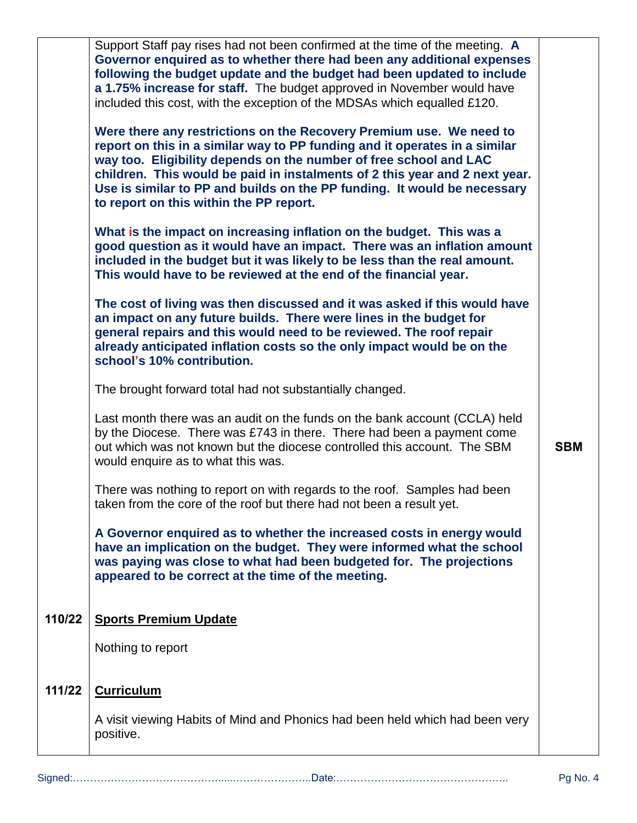|        | Support Staff pay rises had not been confirmed at the time of the meeting. A<br>Governor enquired as to whether there had been any additional expenses<br>following the budget update and the budget had been updated to include<br>a 1.75% increase for staff. The budget approved in November would have<br>included this cost, with the exception of the MDSAs which equalled £120.<br>Were there any restrictions on the Recovery Premium use. We need to<br>report on this in a similar way to PP funding and it operates in a similar<br>way too. Eligibility depends on the number of free school and LAC<br>children. This would be paid in instalments of 2 this year and 2 next year.<br>Use is similar to PP and builds on the PP funding. It would be necessary<br>to report on this within the PP report.<br>What is the impact on increasing inflation on the budget. This was a<br>good question as it would have an impact. There was an inflation amount<br>included in the budget but it was likely to be less than the real amount.<br>This would have to be reviewed at the end of the financial year.<br>The cost of living was then discussed and it was asked if this would have<br>an impact on any future builds. There were lines in the budget for<br>general repairs and this would need to be reviewed. The roof repair<br>already anticipated inflation costs so the only impact would be on the<br>school's 10% contribution.<br>The brought forward total had not substantially changed.<br>Last month there was an audit on the funds on the bank account (CCLA) held<br>by the Diocese. There was £743 in there. There had been a payment come<br>out which was not known but the diocese controlled this account. The SBM<br>would enquire as to what this was.<br>There was nothing to report on with regards to the roof. Samples had been<br>taken from the core of the roof but there had not been a result yet.<br>A Governor enquired as to whether the increased costs in energy would<br>have an implication on the budget. They were informed what the school<br>was paying was close to what had been budgeted for. The projections<br>appeared to be correct at the time of the meeting. | <b>SBM</b> |
|--------|----------------------------------------------------------------------------------------------------------------------------------------------------------------------------------------------------------------------------------------------------------------------------------------------------------------------------------------------------------------------------------------------------------------------------------------------------------------------------------------------------------------------------------------------------------------------------------------------------------------------------------------------------------------------------------------------------------------------------------------------------------------------------------------------------------------------------------------------------------------------------------------------------------------------------------------------------------------------------------------------------------------------------------------------------------------------------------------------------------------------------------------------------------------------------------------------------------------------------------------------------------------------------------------------------------------------------------------------------------------------------------------------------------------------------------------------------------------------------------------------------------------------------------------------------------------------------------------------------------------------------------------------------------------------------------------------------------------------------------------------------------------------------------------------------------------------------------------------------------------------------------------------------------------------------------------------------------------------------------------------------------------------------------------------------------------------------------------------------------------------------------------------------------------------------------------------------------------------------------------|------------|
| 110/22 | <b>Sports Premium Update</b>                                                                                                                                                                                                                                                                                                                                                                                                                                                                                                                                                                                                                                                                                                                                                                                                                                                                                                                                                                                                                                                                                                                                                                                                                                                                                                                                                                                                                                                                                                                                                                                                                                                                                                                                                                                                                                                                                                                                                                                                                                                                                                                                                                                                           |            |
|        | Nothing to report                                                                                                                                                                                                                                                                                                                                                                                                                                                                                                                                                                                                                                                                                                                                                                                                                                                                                                                                                                                                                                                                                                                                                                                                                                                                                                                                                                                                                                                                                                                                                                                                                                                                                                                                                                                                                                                                                                                                                                                                                                                                                                                                                                                                                      |            |
| 111/22 | <b>Curriculum</b>                                                                                                                                                                                                                                                                                                                                                                                                                                                                                                                                                                                                                                                                                                                                                                                                                                                                                                                                                                                                                                                                                                                                                                                                                                                                                                                                                                                                                                                                                                                                                                                                                                                                                                                                                                                                                                                                                                                                                                                                                                                                                                                                                                                                                      |            |
|        | A visit viewing Habits of Mind and Phonics had been held which had been very<br>positive.                                                                                                                                                                                                                                                                                                                                                                                                                                                                                                                                                                                                                                                                                                                                                                                                                                                                                                                                                                                                                                                                                                                                                                                                                                                                                                                                                                                                                                                                                                                                                                                                                                                                                                                                                                                                                                                                                                                                                                                                                                                                                                                                              |            |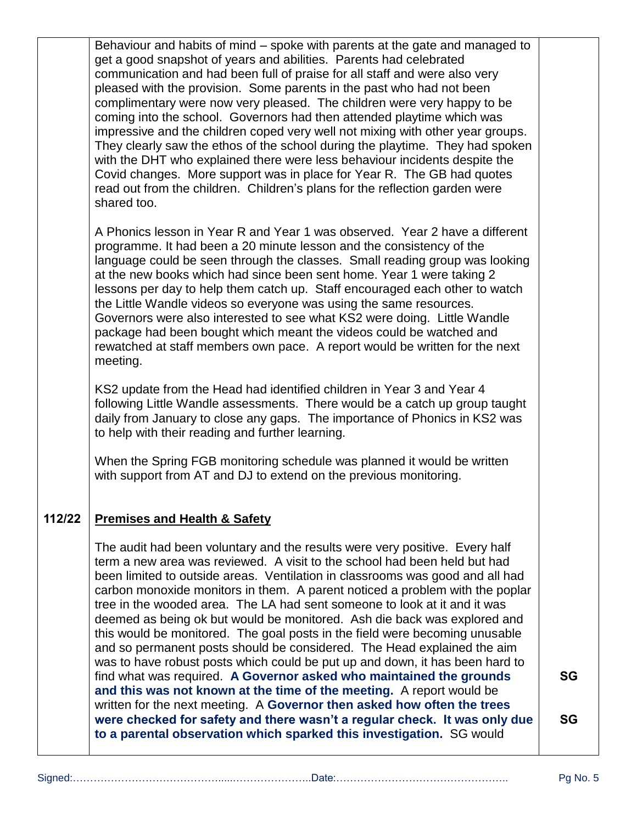|        | Behaviour and habits of mind – spoke with parents at the gate and managed to<br>get a good snapshot of years and abilities. Parents had celebrated<br>communication and had been full of praise for all staff and were also very<br>pleased with the provision. Some parents in the past who had not been<br>complimentary were now very pleased. The children were very happy to be<br>coming into the school. Governors had then attended playtime which was<br>impressive and the children coped very well not mixing with other year groups.<br>They clearly saw the ethos of the school during the playtime. They had spoken<br>with the DHT who explained there were less behaviour incidents despite the<br>Covid changes. More support was in place for Year R. The GB had quotes |                 |
|--------|-------------------------------------------------------------------------------------------------------------------------------------------------------------------------------------------------------------------------------------------------------------------------------------------------------------------------------------------------------------------------------------------------------------------------------------------------------------------------------------------------------------------------------------------------------------------------------------------------------------------------------------------------------------------------------------------------------------------------------------------------------------------------------------------|-----------------|
|        | read out from the children. Children's plans for the reflection garden were<br>shared too.<br>A Phonics lesson in Year R and Year 1 was observed. Year 2 have a different                                                                                                                                                                                                                                                                                                                                                                                                                                                                                                                                                                                                                 |                 |
|        | programme. It had been a 20 minute lesson and the consistency of the<br>language could be seen through the classes. Small reading group was looking<br>at the new books which had since been sent home. Year 1 were taking 2<br>lessons per day to help them catch up. Staff encouraged each other to watch<br>the Little Wandle videos so everyone was using the same resources.<br>Governors were also interested to see what KS2 were doing. Little Wandle<br>package had been bought which meant the videos could be watched and<br>rewatched at staff members own pace. A report would be written for the next<br>meeting.                                                                                                                                                           |                 |
|        | KS2 update from the Head had identified children in Year 3 and Year 4<br>following Little Wandle assessments. There would be a catch up group taught<br>daily from January to close any gaps. The importance of Phonics in KS2 was<br>to help with their reading and further learning.                                                                                                                                                                                                                                                                                                                                                                                                                                                                                                    |                 |
|        | When the Spring FGB monitoring schedule was planned it would be written<br>with support from AT and DJ to extend on the previous monitoring.                                                                                                                                                                                                                                                                                                                                                                                                                                                                                                                                                                                                                                              |                 |
| 112/22 | <b>Premises and Health &amp; Safety</b>                                                                                                                                                                                                                                                                                                                                                                                                                                                                                                                                                                                                                                                                                                                                                   |                 |
|        | The audit had been voluntary and the results were very positive. Every half<br>term a new area was reviewed. A visit to the school had been held but had<br>been limited to outside areas. Ventilation in classrooms was good and all had<br>carbon monoxide monitors in them. A parent noticed a problem with the poplar<br>tree in the wooded area. The LA had sent someone to look at it and it was<br>deemed as being ok but would be monitored. Ash die back was explored and<br>this would be monitored. The goal posts in the field were becoming unusable<br>and so permanent posts should be considered. The Head explained the aim<br>was to have robust posts which could be put up and down, it has been hard to                                                              |                 |
|        | find what was required. A Governor asked who maintained the grounds<br>and this was not known at the time of the meeting. A report would be<br>written for the next meeting. A Governor then asked how often the trees<br>were checked for safety and there wasn't a regular check. It was only due<br>to a parental observation which sparked this investigation. SG would                                                                                                                                                                                                                                                                                                                                                                                                               | SG<br><b>SG</b> |
|        |                                                                                                                                                                                                                                                                                                                                                                                                                                                                                                                                                                                                                                                                                                                                                                                           |                 |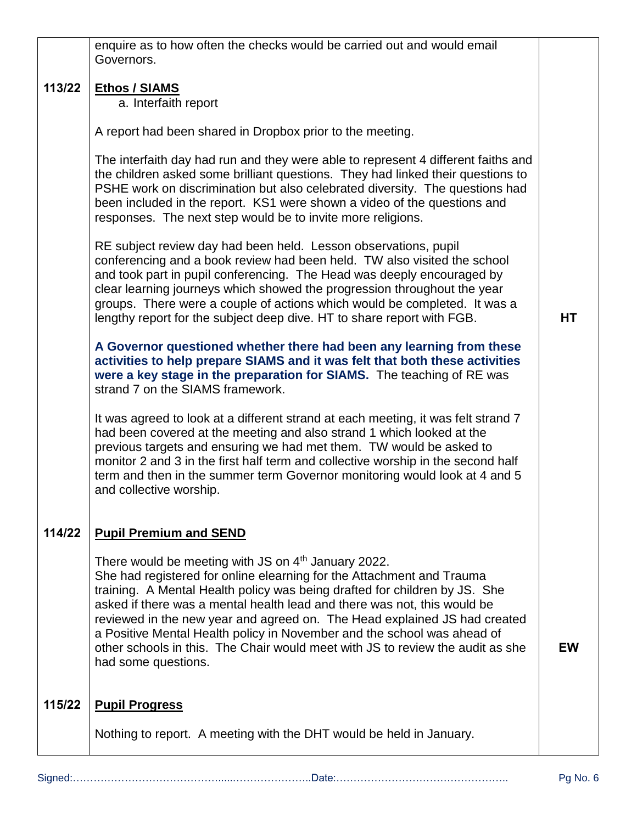|        | enquire as to how often the checks would be carried out and would email                                                                                                                                                                                                                                                                                                                                                                                                                                                                                             |           |
|--------|---------------------------------------------------------------------------------------------------------------------------------------------------------------------------------------------------------------------------------------------------------------------------------------------------------------------------------------------------------------------------------------------------------------------------------------------------------------------------------------------------------------------------------------------------------------------|-----------|
|        | Governors.                                                                                                                                                                                                                                                                                                                                                                                                                                                                                                                                                          |           |
| 113/22 | <b>Ethos / SIAMS</b><br>a. Interfaith report                                                                                                                                                                                                                                                                                                                                                                                                                                                                                                                        |           |
|        | A report had been shared in Dropbox prior to the meeting.                                                                                                                                                                                                                                                                                                                                                                                                                                                                                                           |           |
|        | The interfaith day had run and they were able to represent 4 different faiths and<br>the children asked some brilliant questions. They had linked their questions to<br>PSHE work on discrimination but also celebrated diversity. The questions had<br>been included in the report. KS1 were shown a video of the questions and<br>responses. The next step would be to invite more religions.                                                                                                                                                                     |           |
|        | RE subject review day had been held. Lesson observations, pupil<br>conferencing and a book review had been held. TW also visited the school<br>and took part in pupil conferencing. The Head was deeply encouraged by<br>clear learning journeys which showed the progression throughout the year<br>groups. There were a couple of actions which would be completed. It was a<br>lengthy report for the subject deep dive. HT to share report with FGB.                                                                                                            | HT        |
|        | A Governor questioned whether there had been any learning from these<br>activities to help prepare SIAMS and it was felt that both these activities<br>were a key stage in the preparation for SIAMS. The teaching of RE was<br>strand 7 on the SIAMS framework.                                                                                                                                                                                                                                                                                                    |           |
|        | It was agreed to look at a different strand at each meeting, it was felt strand 7<br>had been covered at the meeting and also strand 1 which looked at the<br>previous targets and ensuring we had met them. TW would be asked to<br>monitor 2 and 3 in the first half term and collective worship in the second half<br>term and then in the summer term Governor monitoring would look at 4 and 5<br>and collective worship.                                                                                                                                      |           |
| 114/22 | <b>Pupil Premium and SEND</b>                                                                                                                                                                                                                                                                                                                                                                                                                                                                                                                                       |           |
|        | There would be meeting with JS on 4 <sup>th</sup> January 2022.<br>She had registered for online elearning for the Attachment and Trauma<br>training. A Mental Health policy was being drafted for children by JS. She<br>asked if there was a mental health lead and there was not, this would be<br>reviewed in the new year and agreed on. The Head explained JS had created<br>a Positive Mental Health policy in November and the school was ahead of<br>other schools in this. The Chair would meet with JS to review the audit as she<br>had some questions. | <b>EW</b> |
| 115/22 | <b>Pupil Progress</b>                                                                                                                                                                                                                                                                                                                                                                                                                                                                                                                                               |           |
|        | Nothing to report. A meeting with the DHT would be held in January.                                                                                                                                                                                                                                                                                                                                                                                                                                                                                                 |           |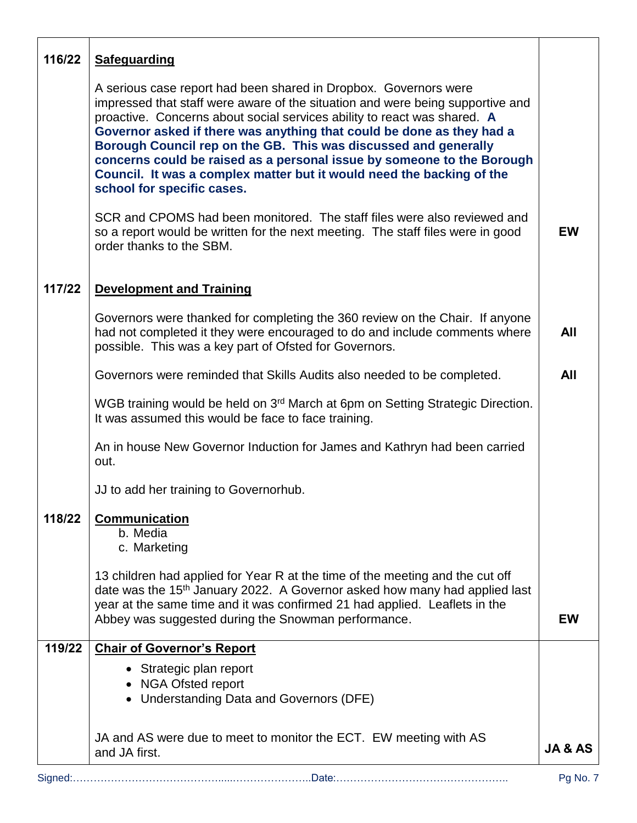| 116/22 | <b>Safeguarding</b>                                                                                                                                                                                                                                                                                                                                                                                                                                                                                                                                         |           |
|--------|-------------------------------------------------------------------------------------------------------------------------------------------------------------------------------------------------------------------------------------------------------------------------------------------------------------------------------------------------------------------------------------------------------------------------------------------------------------------------------------------------------------------------------------------------------------|-----------|
|        | A serious case report had been shared in Dropbox. Governors were<br>impressed that staff were aware of the situation and were being supportive and<br>proactive. Concerns about social services ability to react was shared. A<br>Governor asked if there was anything that could be done as they had a<br>Borough Council rep on the GB. This was discussed and generally<br>concerns could be raised as a personal issue by someone to the Borough<br>Council. It was a complex matter but it would need the backing of the<br>school for specific cases. |           |
|        | SCR and CPOMS had been monitored. The staff files were also reviewed and<br>so a report would be written for the next meeting. The staff files were in good<br>order thanks to the SBM.                                                                                                                                                                                                                                                                                                                                                                     | <b>EW</b> |
| 117/22 | <b>Development and Training</b>                                                                                                                                                                                                                                                                                                                                                                                                                                                                                                                             |           |
|        | Governors were thanked for completing the 360 review on the Chair. If anyone<br>had not completed it they were encouraged to do and include comments where<br>possible. This was a key part of Ofsted for Governors.                                                                                                                                                                                                                                                                                                                                        | All       |
|        | Governors were reminded that Skills Audits also needed to be completed.                                                                                                                                                                                                                                                                                                                                                                                                                                                                                     | All       |
|        | WGB training would be held on 3 <sup>rd</sup> March at 6pm on Setting Strategic Direction.<br>It was assumed this would be face to face training.                                                                                                                                                                                                                                                                                                                                                                                                           |           |
|        | An in house New Governor Induction for James and Kathryn had been carried<br>out.                                                                                                                                                                                                                                                                                                                                                                                                                                                                           |           |
|        | JJ to add her training to Governorhub.                                                                                                                                                                                                                                                                                                                                                                                                                                                                                                                      |           |
| 118/22 | <b>Communication</b><br>b. Media<br>c. Marketing                                                                                                                                                                                                                                                                                                                                                                                                                                                                                                            |           |
|        | 13 children had applied for Year R at the time of the meeting and the cut off<br>date was the 15 <sup>th</sup> January 2022. A Governor asked how many had applied last<br>year at the same time and it was confirmed 21 had applied. Leaflets in the<br>Abbey was suggested during the Snowman performance.                                                                                                                                                                                                                                                | <b>EW</b> |
| 119/22 | <b>Chair of Governor's Report</b>                                                                                                                                                                                                                                                                                                                                                                                                                                                                                                                           |           |
|        | • Strategic plan report<br><b>NGA Ofsted report</b><br><b>Understanding Data and Governors (DFE)</b>                                                                                                                                                                                                                                                                                                                                                                                                                                                        |           |
|        | JA and AS were due to meet to monitor the ECT. EW meeting with AS<br>and JA first.                                                                                                                                                                                                                                                                                                                                                                                                                                                                          | JA & AS   |
|        |                                                                                                                                                                                                                                                                                                                                                                                                                                                                                                                                                             | Pg No. 7  |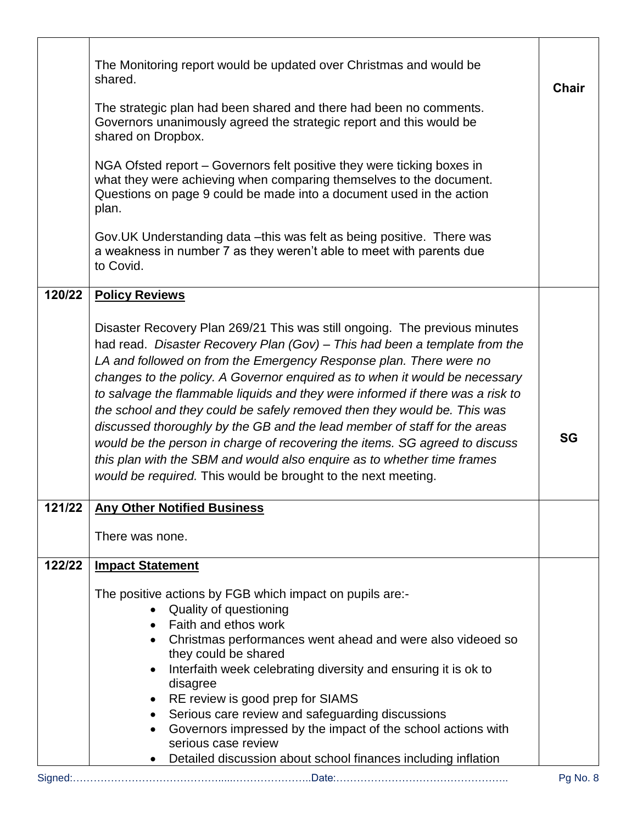|        | The Monitoring report would be updated over Christmas and would be<br>shared.                                                                                                                                                                                                                                 | <b>Chair</b> |
|--------|---------------------------------------------------------------------------------------------------------------------------------------------------------------------------------------------------------------------------------------------------------------------------------------------------------------|--------------|
|        | The strategic plan had been shared and there had been no comments.<br>Governors unanimously agreed the strategic report and this would be<br>shared on Dropbox.                                                                                                                                               |              |
|        | NGA Ofsted report – Governors felt positive they were ticking boxes in<br>what they were achieving when comparing themselves to the document.<br>Questions on page 9 could be made into a document used in the action<br>plan.                                                                                |              |
|        | Gov. UK Understanding data - this was felt as being positive. There was<br>a weakness in number 7 as they weren't able to meet with parents due<br>to Covid.                                                                                                                                                  |              |
| 120/22 | <b>Policy Reviews</b>                                                                                                                                                                                                                                                                                         |              |
|        | Disaster Recovery Plan 269/21 This was still ongoing. The previous minutes<br>had read. Disaster Recovery Plan (Gov) - This had been a template from the<br>LA and followed on from the Emergency Response plan. There were no<br>changes to the policy. A Governor enquired as to when it would be necessary |              |
|        | to salvage the flammable liquids and they were informed if there was a risk to<br>the school and they could be safely removed then they would be. This was                                                                                                                                                    |              |
|        | discussed thoroughly by the GB and the lead member of staff for the areas<br>would be the person in charge of recovering the items. SG agreed to discuss<br>this plan with the SBM and would also enquire as to whether time frames<br>would be required. This would be brought to the next meeting.          | <b>SG</b>    |
| 121/22 | <b>Any Other Notified Business</b>                                                                                                                                                                                                                                                                            |              |
|        | There was none.                                                                                                                                                                                                                                                                                               |              |
| 122/22 | <b>Impact Statement</b>                                                                                                                                                                                                                                                                                       |              |
|        | The positive actions by FGB which impact on pupils are:-<br>Quality of questioning<br>• Faith and ethos work                                                                                                                                                                                                  |              |
|        | Christmas performances went ahead and were also videoed so                                                                                                                                                                                                                                                    |              |
|        | they could be shared<br>Interfaith week celebrating diversity and ensuring it is ok to                                                                                                                                                                                                                        |              |
|        | disagree<br>RE review is good prep for SIAMS                                                                                                                                                                                                                                                                  |              |
|        | Serious care review and safeguarding discussions                                                                                                                                                                                                                                                              |              |
|        | Governors impressed by the impact of the school actions with<br>serious case review                                                                                                                                                                                                                           |              |
|        | Detailed discussion about school finances including inflation                                                                                                                                                                                                                                                 |              |
|        |                                                                                                                                                                                                                                                                                                               | Pg No. 8     |